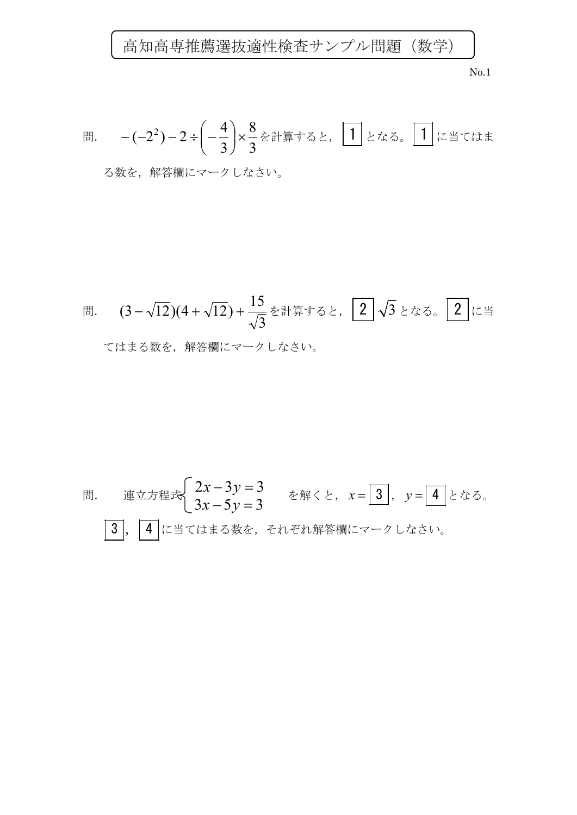No.1

問題. 
$$
-(-2^2)-2 \div \left(-\frac{4}{3}\right) \times \frac{8}{3} \times \frac{3}{3} \times \frac{3}{3} \times \frac{1}{4} \times \frac{1}{5} \times \frac{1}{6} \times \frac{1}{6} \times \frac{1}{3} \times \frac{1}{6} \times \frac{1}{3} \times \frac{1}{3} \times \frac{1}{3} \times \frac{1}{3} \times \frac{1}{3} \times \frac{1}{3} \times \frac{1}{3} \times \frac{1}{3} \times \frac{1}{3} \times \frac{1}{3} \times \frac{1}{3} \times \frac{1}{3} \times \frac{1}{3} \times \frac{1}{3} \times \frac{1}{3} \times \frac{1}{3} \times \frac{1}{3} \times \frac{1}{3} \times \frac{1}{3} \times \frac{1}{3} \times \frac{1}{3} \times \frac{1}{3} \times \frac{1}{3} \times \frac{1}{3} \times \frac{1}{3} \times \frac{1}{3} \times \frac{1}{3} \times \frac{1}{3} \times \frac{1}{3} \times \frac{1}{3} \times \frac{1}{3} \times \frac{1}{3} \times \frac{1}{3} \times \frac{1}{3} \times \frac{1}{3} \times \frac{1}{3} \times \frac{1}{3} \times \frac{1}{3} \times \frac{1}{3} \times \frac{1}{3} \times \frac{1}{3} \times \frac{1}{3} \times \frac{1}{3} \times \frac{1}{3} \times \frac{1}{3} \times \frac{1}{3} \times \frac{1}{3} \times \frac{1}{3} \times \frac{1}{3} \times \frac{1}{3} \times \frac{1}{3} \times \frac{1}{3} \times \frac{1}{3} \times \frac{1}{3} \times \frac{1}{3} \times \frac{1}{3} \times \frac{1}{3} \times \frac{1}{3} \times \frac{1}{3} \times \frac{1}{3} \times \frac{1}{3} \times \frac{1}{3} \times \frac{1}{3} \times \frac{1}{3} \times \frac{1}{3} \times \frac{1}{3} \times \frac{1}{3} \times \frac{1}{3} \times \frac{1}{3} \times \frac{1}{3} \times \frac{1}{3} \times \frac{1}{3} \times \frac{1}{3}
$$

る数を,解答欄にマークしなさい。

問題. 
$$
(3-\sqrt{12})(4+\sqrt{12})+\frac{15}{\sqrt{3}}\&\rightrightarrows\rightrightarrows\rightrightarrows\rightrightarrows\rightrightarrows\rightrightarrows\rightrightarrows\rightrightarrows\rightrightarrows\rightrightarrows\rightrightarrows\rightrightarrows\rightrightarrows\rightrightarrows\rightrightarrows\rightrightarrows\rightrightarrows\rightrightarrows\rightrightarrows\rightrightarrows\rightrightarrows\rightrightarrows\rightrightarrows\rightrightarrows\rightrightarrows\rightrightarrows\rightrightarrows\rightrightarrows\rightrightarrows\rightrightarrows\rightrightarrows\rightrightarrows\rightrightarrows\rightrightarrows\rightrightarrows\rightrightarrows\rightrightarrows\rightrightarrows\rightrightarrows\rightrightarrows\rightrightarrows\rightrightarrows\rightrightarrows\rightrightarrows\rightrightarrows\rightrightarrows\rightrightarrows\rightrightarrows\rightrightarrows\rightrightarrows\rightrightarrows\rightrightarrows\rightrightarrows\rightrightarrows\rightrightarrows\rightrightarrows\rightrightarrows\rightrightarrows\rightrightarrows\rightrightarrows\rightrightarrows\rightrightarrows\rightrightarrows\rightrightarrows\rightrightarrows\rightrightarrows\rightrightarrows\rightrightarrows\rightrightarrows\rightrightarrows\rightrightarrows\rightrightarrows\rightrightarrows\rightrightarrows\rightrightarrows\rightrightarrows\rightrightarrows\rightrightarrows\rightrightarrows\rightrightarrows\rightrightarrows\rightrightarrows\rightrightarrows\rightrightarrows\rightrightarrows\rightrightarrows\rightrightarrows\rightrightarrows\rightrightarrows\rightrightarrows\rightrightarrows\rightrightarrows\rightrightarrows\rightrightarrows\rightrightarrows\rightrightarrows\rightrightarrows\rightrightarrows\rightrightarrows\rightrightarrows\rightrightarrows\rightrightarrows\rightrightarrows\rightrightarrows\rightrightarrows\rightrightarrows\rightrightarrows\rightrightarrows\rightrightarrows\rightrightarrows\rightrightarrows\rightrightarrows\rightrightarrows\rightrightarrows\rightrightarrows\rightrightarrows\rightrightarrows\rightrightarrows\rightrightarrows\rightrightarrows\rightrightarrows\rightright
$$

問題. 連立方茼�式 
$$
\begin{cases} 2x-3y=3\\ 3x-5y=3 \end{cases}
$$
 を解くと,  $x = \boxed{3}$ ,  $y = \boxed{4}$ となる。  
3,  $\boxed{4}$  に当てはする数を, それ解'''aにマーウしたさい。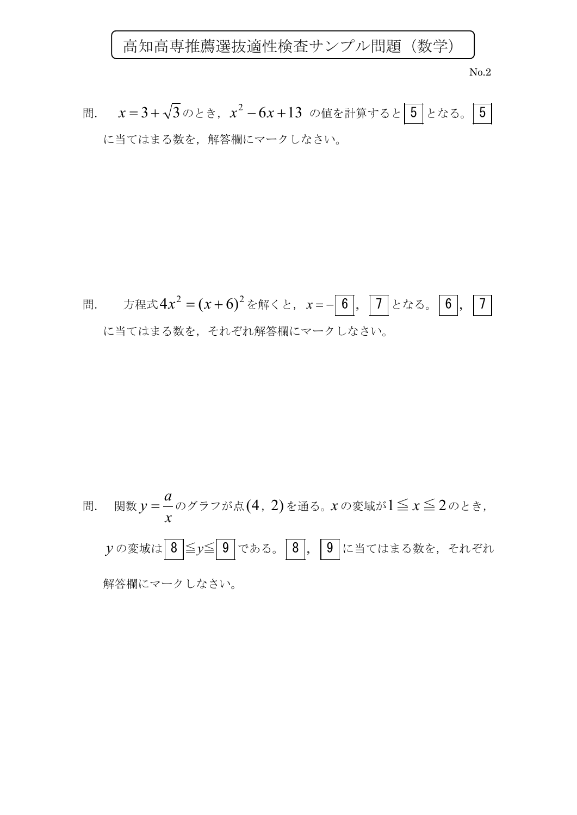

No.2

問. *x* = 3 + √3のとき,*x*<sup>2</sup> − 6*x* + 13 の値を計算すると 5 となる。 5 に当てはまる数を,解答欄にマークしなさい。

問題. 方絶式
$$
4x^2 = (x+6)^2
$$
を解くと,  $x = -\boxed{6}$ ,  $\boxed{7}$ となる。 $\boxed{6}$ ,  $\boxed{7}$   
に当てはまる数を, それ解筨襴にマークしたさい。

問題、関数
$$
y = \frac{a}{x}
$$
のグラフが点(4, 2)を通る。xの変城が1 $\leq x \leq 2$ のとき,  
 $y$ の変城は 8 $\leq y \leq 9$ である。8, 9に当てはする数を, それそれ  
解筨構にマーウしたさい。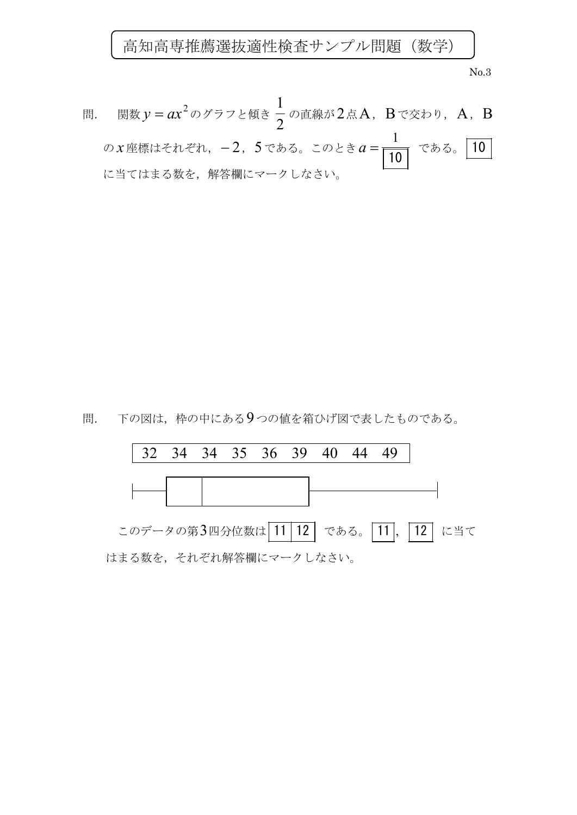No.3

問. 関数  $y = ax^2$ のグラフと傾き - の直線が2点A, Bで交わり, A, B の *x* 座標はそれぞれ, −2, 5 である。このとき a =  $\frac{1}{\sqrt{10}}$  である。 10 に当てはまる数を,解答欄にマークしなさい。 1 10 2 1

問. 下の図は、枠の中にある9つの値を箱ひげ図で表したものである。

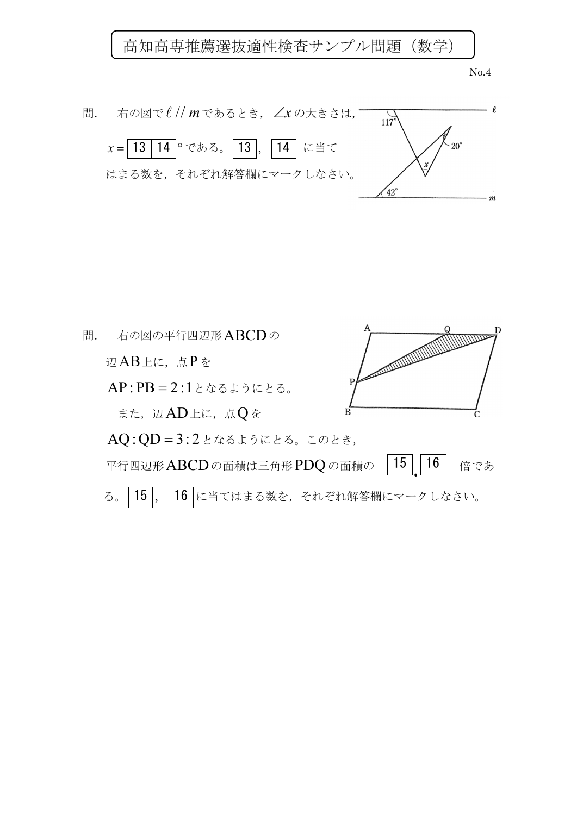No.4



問. 右の図の平行四辺形ABCDの **CONTROLLER DESCRIPTION OF REAL PROPERTY**  辺AB上に,点P を AP : PB = 2 :1となるようにとる。 また、辺AD上に、点 $Q$ を AQ:QD = 3: 2となるようにとる。このとき, 平行四辺形 ABCD の面積は三角形 PDQ の面積の | 15 | | 16 | 倍であ  $|16$ る。 15, 16 に当てはまる数を、それぞれ解答欄にマークしなさい。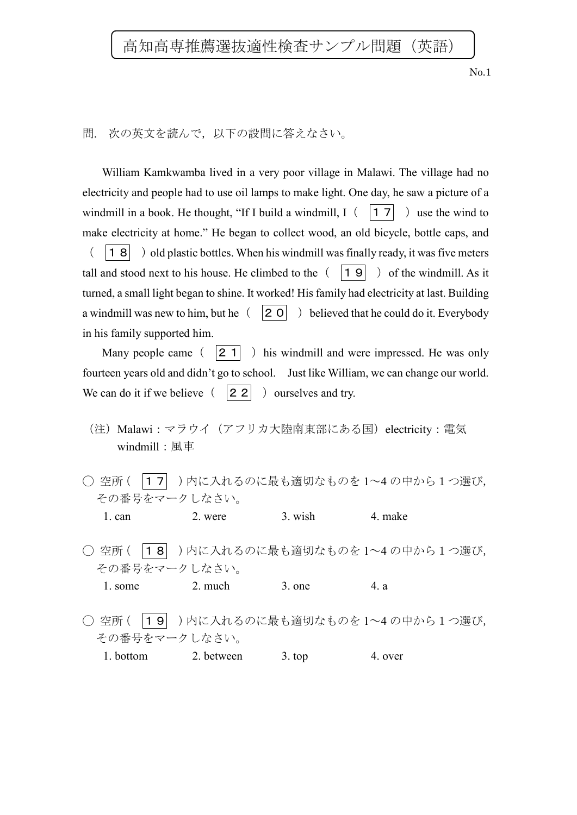No.1

## 問. 次の英文を読んで,以下の設問に答えなさい。

William Kamkwamba lived in a very poor village in Malawi. The village had no electricity and people had to use oil lamps to make light. One day, he saw a picture of a windmill in a book. He thought, "If I build a windmill,  $I\left( \begin{array}{c|c} 17 \end{array} \right)$  use the wind to make electricity at home." He began to collect wood, an old bicycle, bottle caps, and  $( \vert 18 \vert )$  old plastic bottles. When his windmill was finally ready, it was five meters tall and stood next to his house. He climbed to the  $( \vert 19 \vert )$  of the windmill. As it turned, a small light began to shine. It worked! His family had electricity at last. Building a windmill was new to him, but he $(20)$  believed that he could do it. Everybody in his family supported him.

Many people came  $(21)$  ) his windmill and were impressed. He was only fourteen years old and didn't go to school. Just like William, we can change our world. We can do it if we believe  $( |22 | )$  ourselves and try.

- (注)Malawi:マラウイ[\(アフリカ大陸南](https://ja.wikipedia.org/wiki/%E3%82%A2%E3%83%95%E3%83%AA%E3%82%AB%E5%A4%A7%E9%99%B8)東部にある国)electricity:電気 windmill:風車
- 空所( |17 )内に入れるのに最も適切なものを 1~4の中から1つ選び, その番号をマークしなさい。 1. can 2. were 3. wish 4. make
- 空所( |18 )内に入れるのに最も適切なものを 1~4の中から1つ選び, その番号をマークしなさい。

1. some 2. much 3. one 4. a

○ 空所( |19 )内に入れるのに最も適切なものを 1~4の中から1つ選び, その番号をマークしなさい。

1. bottom 2. between 3. top 4. over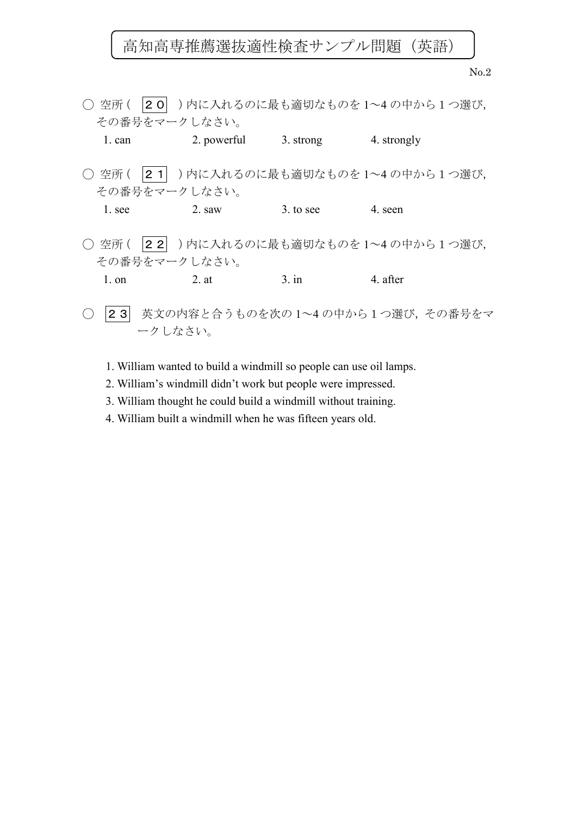No.2

| ○ 空所 (   | 20  )内に入れるのに最も適切なものを1~4の中から1つ選び,                  |                    |                                 |
|----------|---------------------------------------------------|--------------------|---------------------------------|
|          | その番号をマークしなさい。                                     |                    |                                 |
| 1. can   | 2. powerful                                       | 3. strong          | 4. strongly                     |
| ( ) 空所 ( | $ 2 \; 1 $<br>その番号をマークしなさい。                       |                    | )内に入れるのに最も適切なものを1~4の中から1つ選び,    |
| 1. see   | 2. saw                                            | $3. \text{to see}$ | 4. seen                         |
| ○ 空所 (   | 22  )内に入れるのに最も適切なものを1~4の中から1つ選び,<br>その番号をマークしなさい。 |                    |                                 |
| $1.$ on  | 2. at                                             | $3.$ in            | 4. after                        |
| 231      | ークしなさい。                                           |                    | 英文の内容と合うものを次の1~4の中から1つ選び、その番号をマ |

- 1. William wanted to build a windmill so people can use oil lamps.
- 2. William's windmill didn't work but people were impressed.
- 3. William thought he could build a windmill without training.
- 4. William built a windmill when he was fifteen years old.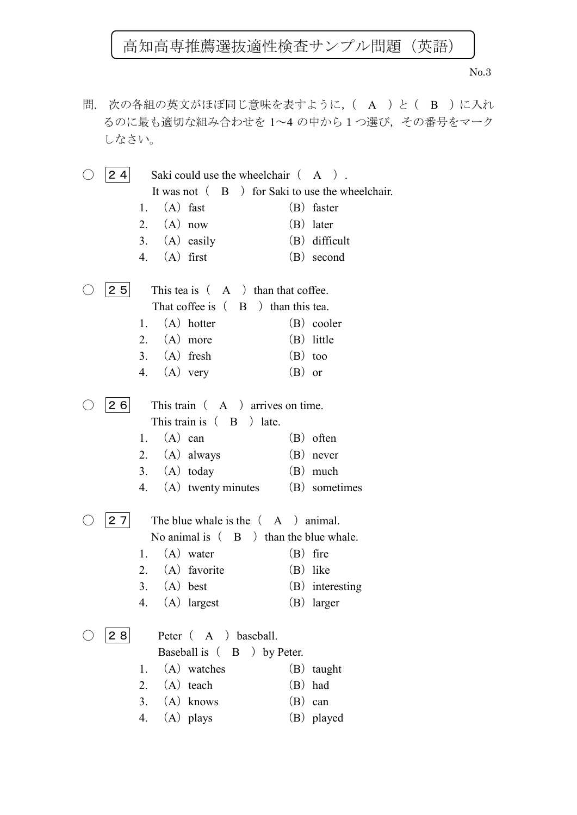No.3

問. 次の各組の英文がほぼ同じ意味を表すように,( A )と( B )に入れ るのに最も適切な組み合わせを 1~4 の中から1つ選び,その番号をマーク しなさい。

 $\bigcirc$  |24| Saki could use the wheelchair  $(A)$ . It was not  $(B)$  for Saki to use the wheelchair. 1. (A) fast (B) faster 2. (A) now (B) later 3. (A) easily (B) difficult 4. (A) first (B) second  $\bigcirc$  25 This tea is (A ) than that coffee. That coffee is  $( \quad B \quad )$  than this tea. 1. (A) hotter (B) cooler 2. (A) more (B) little 3.  $(A)$  fresh  $(B)$  too 4. (A)very (B)or  $\begin{array}{|c|c|c|c|c|c|} \hline 26 & \text{This train} & A \\\hline \end{array}$  arrives on time. This train is  $($  B  $)$  late. 1. (A) can (B) often 2. (A) always (B) never 3. (A) today (B) much 4. (A) twenty minutes (B) sometimes  $\bigcirc$  |2.7| The blue whale is the  $(A)$  animal. No animal is  $( \mathbf{B} )$  than the blue whale. 1.  $(A)$  water  $(B)$  fire 2. (A) favorite (B) like 3. (A) best (B) interesting 4. (A)largest (B)larger  $\bigcirc$  28 Peter (A) baseball. Baseball is (B ) by Peter. 1. (A) watches (B) taught 2. (A) teach (B) had 3. (A) knows (B) can 4. (A) plays (B) played